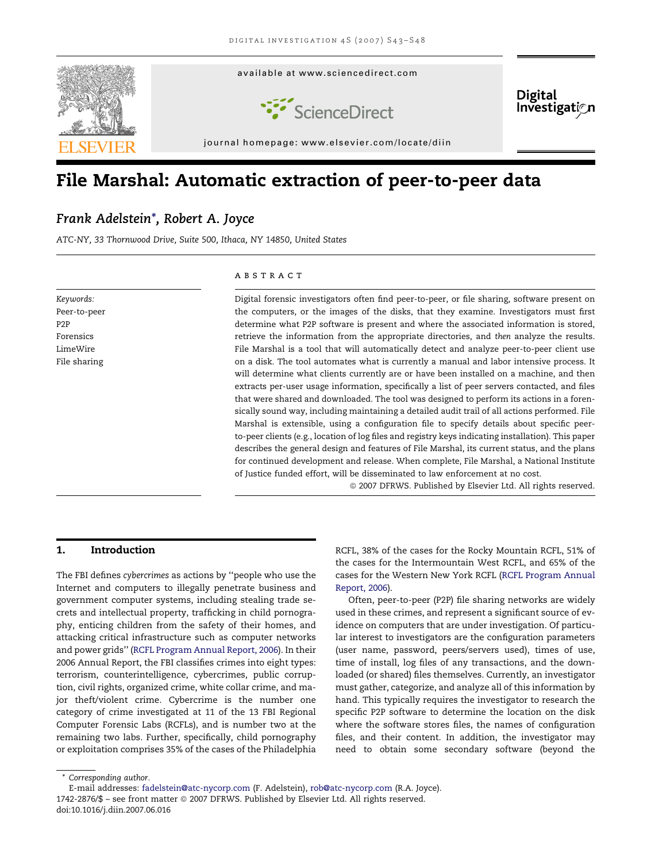

# File Marshal: Automatic extraction of peer-to-peer data

# Frank Adelstein\*, Robert A. Joyce

ATC-NY, 33 Thornwood Drive, Suite 500, Ithaca, NY 14850, United States

Keywords: Peer-to-peer P2P Forensics LimeWire File sharing

#### **ABSTRACT**

Digital forensic investigators often find peer-to-peer, or file sharing, software present on the computers, or the images of the disks, that they examine. Investigators must first determine what P2P software is present and where the associated information is stored, retrieve the information from the appropriate directories, and then analyze the results. File Marshal is a tool that will automatically detect and analyze peer-to-peer client use on a disk. The tool automates what is currently a manual and labor intensive process. It will determine what clients currently are or have been installed on a machine, and then extracts per-user usage information, specifically a list of peer servers contacted, and files that were shared and downloaded. The tool was designed to perform its actions in a forensically sound way, including maintaining a detailed audit trail of all actions performed. File Marshal is extensible, using a configuration file to specify details about specific peerto-peer clients (e.g., location of log files and registry keys indicating installation). This paper describes the general design and features of File Marshal, its current status, and the plans for continued development and release. When complete, File Marshal, a National Institute of Justice funded effort, will be disseminated to law enforcement at no cost.

 $© 2007$  DFRWS. Published by Elsevier Ltd. All rights reserved.

# 1. Introduction

The FBI defines cybercrimes as actions by ''people who use the Internet and computers to illegally penetrate business and government computer systems, including stealing trade secrets and intellectual property, trafficking in child pornography, enticing children from the safety of their homes, and attacking critical infrastructure such as computer networks and power grids'' ([RCFL Program Annual Report, 2006](#page-5-0)). In their 2006 Annual Report, the FBI classifies crimes into eight types: terrorism, counterintelligence, cybercrimes, public corruption, civil rights, organized crime, white collar crime, and major theft/violent crime. Cybercrime is the number one category of crime investigated at 11 of the 13 FBI Regional Computer Forensic Labs (RCFLs), and is number two at the remaining two labs. Further, specifically, child pornography or exploitation comprises 35% of the cases of the Philadelphia RCFL, 38% of the cases for the Rocky Mountain RCFL, 51% of the cases for the Intermountain West RCFL, and 65% of the cases for the Western New York RCFL [\(RCFL Program Annual](#page-5-0) [Report, 2006\)](#page-5-0).

Often, peer-to-peer (P2P) file sharing networks are widely used in these crimes, and represent a significant source of evidence on computers that are under investigation. Of particular interest to investigators are the configuration parameters (user name, password, peers/servers used), times of use, time of install, log files of any transactions, and the downloaded (or shared) files themselves. Currently, an investigator must gather, categorize, and analyze all of this information by hand. This typically requires the investigator to research the specific P2P software to determine the location on the disk where the software stores files, the names of configuration files, and their content. In addition, the investigator may need to obtain some secondary software (beyond the

doi:10.1016/j.diin.2007.06.016

<sup>\*</sup> Corresponding author.

E-mail addresses: [fadelstein@atc-nycorp.com](mailto:fadelstein@atc-nycorp.com) (F. Adelstein), [rob@atc-nycorp.com](mailto:rob@atc-nycorp.com) (R.A. Joyce).

<sup>1742-2876/\$ -</sup> see front matter © 2007 DFRWS. Published by Elsevier Ltd. All rights reserved.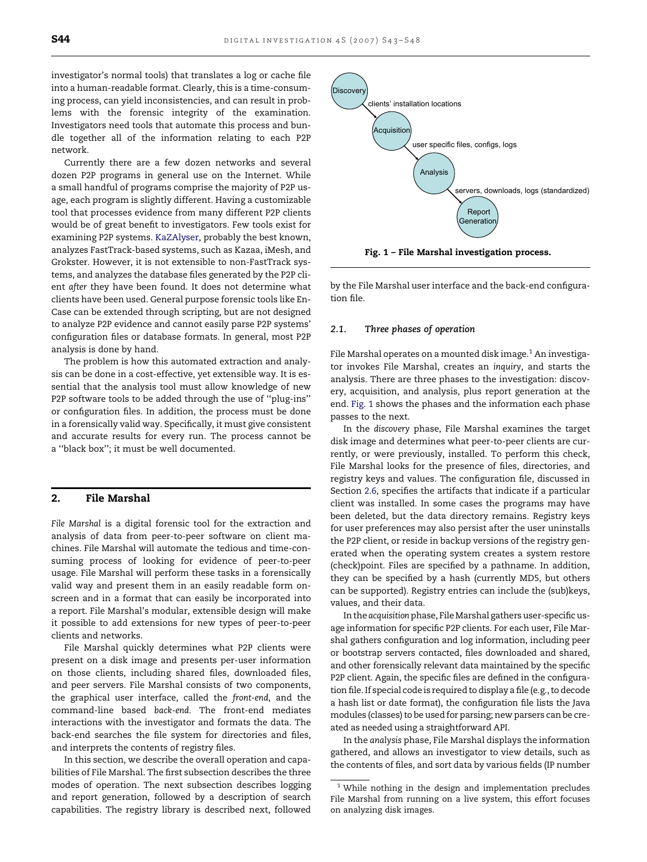investigator's normal tools) that translates a log or cache file into a human-readable format. Clearly, this is a time-consuming process, can yield inconsistencies, and can result in problems with the forensic integrity of the examination. Investigators need tools that automate this process and bundle together all of the information relating to each P2P network.

Currently there are a few dozen networks and several dozen P2P programs in general use on the Internet. While a small handful of programs comprise the majority of P2P usage, each program is slightly different. Having a customizable tool that processes evidence from many different P2P clients would be of great benefit to investigators. Few tools exist for examining P2P systems. [KaZAlyser](#page-5-0), probably the best known, analyzes FastTrack-based systems, such as Kazaa, iMesh, and Grokster. However, it is not extensible to non-FastTrack systems, and analyzes the database files generated by the P2P client after they have been found. It does not determine what clients have been used. General purpose forensic tools like En-Case can be extended through scripting, but are not designed to analyze P2P evidence and cannot easily parse P2P systems' configuration files or database formats. In general, most P2P analysis is done by hand.

The problem is how this automated extraction and analysis can be done in a cost-effective, yet extensible way. It is essential that the analysis tool must allow knowledge of new P2P software tools to be added through the use of ''plug-ins'' or configuration files. In addition, the process must be done in a forensically valid way. Specifically, it must give consistent and accurate results for every run. The process cannot be a ''black box''; it must be well documented.

## 2. File Marshal

File Marshal is a digital forensic tool for the extraction and analysis of data from peer-to-peer software on client machines. File Marshal will automate the tedious and time-consuming process of looking for evidence of peer-to-peer usage. File Marshal will perform these tasks in a forensically valid way and present them in an easily readable form onscreen and in a format that can easily be incorporated into a report. File Marshal's modular, extensible design will make it possible to add extensions for new types of peer-to-peer clients and networks.

File Marshal quickly determines what P2P clients were present on a disk image and presents per-user information on those clients, including shared files, downloaded files, and peer servers. File Marshal consists of two components, the graphical user interface, called the front-end, and the command-line based back-end. The front-end mediates interactions with the investigator and formats the data. The back-end searches the file system for directories and files, and interprets the contents of registry files.

In this section, we describe the overall operation and capabilities of File Marshal. The first subsection describes the three modes of operation. The next subsection describes logging and report generation, followed by a description of search capabilities. The registry library is described next, followed



Fig. 1 – File Marshal investigation process.

by the File Marshal user interface and the back-end configuration file.

#### 2.1. Three phases of operation

File Marshal operates on a mounted disk image. $1$  An investigator invokes File Marshal, creates an inquiry, and starts the analysis. There are three phases to the investigation: discovery, acquisition, and analysis, plus report generation at the end. Fig. 1 shows the phases and the information each phase passes to the next.

In the discovery phase, File Marshal examines the target disk image and determines what peer-to-peer clients are currently, or were previously, installed. To perform this check, File Marshal looks for the presence of files, directories, and registry keys and values. The configuration file, discussed in Section [2.6,](#page-3-0) specifies the artifacts that indicate if a particular client was installed. In some cases the programs may have been deleted, but the data directory remains. Registry keys for user preferences may also persist after the user uninstalls the P2P client, or reside in backup versions of the registry generated when the operating system creates a system restore (check)point. Files are specified by a pathname. In addition, they can be specified by a hash (currently MD5, but others can be supported). Registry entries can include the (sub)keys, values, and their data.

In the acquisition phase, FileMarshal gathers user-specific usage information for specific P2P clients. For each user, File Marshal gathers configuration and log information, including peer or bootstrap servers contacted, files downloaded and shared, and other forensically relevant data maintained by the specific P2P client. Again, the specific files are defined in the configuration file. If special code is required to display a file (e.g., to decode a hash list or date format), the configuration file lists the Java modules (classes) to be used for parsing; new parsers can be created as needed using a straightforward API.

In the analysis phase, File Marshal displays the information gathered, and allows an investigator to view details, such as the contents of files, and sort data by various fields (IP number

 $1$  While nothing in the design and implementation precludes File Marshal from running on a live system, this effort focuses on analyzing disk images.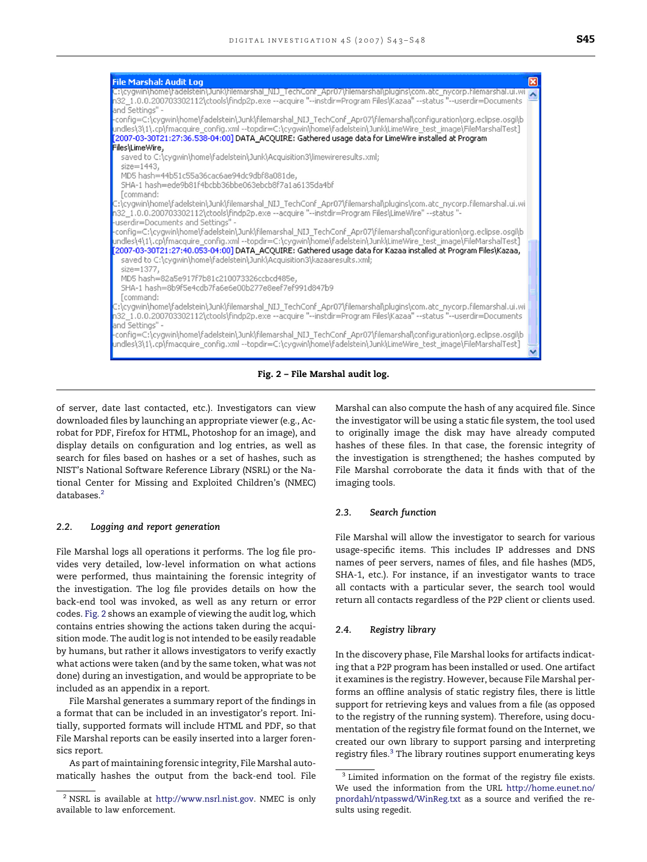

Fig. 2 – File Marshal audit log.

of server, date last contacted, etc.). Investigators can view downloaded files by launching an appropriate viewer (e.g., Acrobat for PDF, Firefox for HTML, Photoshop for an image), and display details on configuration and log entries, as well as search for files based on hashes or a set of hashes, such as NIST's National Software Reference Library (NSRL) or the National Center for Missing and Exploited Children's (NMEC) databases.<sup>2</sup>

#### 2.2. Logging and report generation

File Marshal logs all operations it performs. The log file provides very detailed, low-level information on what actions were performed, thus maintaining the forensic integrity of the investigation. The log file provides details on how the back-end tool was invoked, as well as any return or error codes. Fig. 2 shows an example of viewing the audit log, which contains entries showing the actions taken during the acquisition mode. The audit log is not intended to be easily readable by humans, but rather it allows investigators to verify exactly what actions were taken (and by the same token, what was not done) during an investigation, and would be appropriate to be included as an appendix in a report.

File Marshal generates a summary report of the findings in a format that can be included in an investigator's report. Initially, supported formats will include HTML and PDF, so that File Marshal reports can be easily inserted into a larger forensics report.

As part of maintaining forensic integrity, File Marshal automatically hashes the output from the back-end tool. File

Marshal can also compute the hash of any acquired file. Since the investigator will be using a static file system, the tool used to originally image the disk may have already computed hashes of these files. In that case, the forensic integrity of the investigation is strengthened; the hashes computed by File Marshal corroborate the data it finds with that of the imaging tools.

### 2.3. Search function

File Marshal will allow the investigator to search for various usage-specific items. This includes IP addresses and DNS names of peer servers, names of files, and file hashes (MD5, SHA-1, etc.). For instance, if an investigator wants to trace all contacts with a particular sever, the search tool would return all contacts regardless of the P2P client or clients used.

#### 2.4. Registry library

In the discovery phase, File Marshal looks for artifacts indicating that a P2P program has been installed or used. One artifact it examines is the registry. However, because File Marshal performs an offline analysis of static registry files, there is little support for retrieving keys and values from a file (as opposed to the registry of the running system). Therefore, using documentation of the registry file format found on the Internet, we created our own library to support parsing and interpreting registry files.<sup>3</sup> The library routines support enumerating keys

 $2$  NSRL is available at [http://www.nsrl.nist.gov.](http://www.nsrl.nist.gov/) NMEC is only available to law enforcement.

<sup>&</sup>lt;sup>3</sup> Limited information on the format of the registry file exists. We used the information from the URL [http://home.eunet.no/](http://home.eunet.no/pnordahl/ntpasswd/WinReg.txt) [pnordahl/ntpasswd/WinReg.txt](http://home.eunet.no/pnordahl/ntpasswd/WinReg.txt) as a source and verified the results using regedit.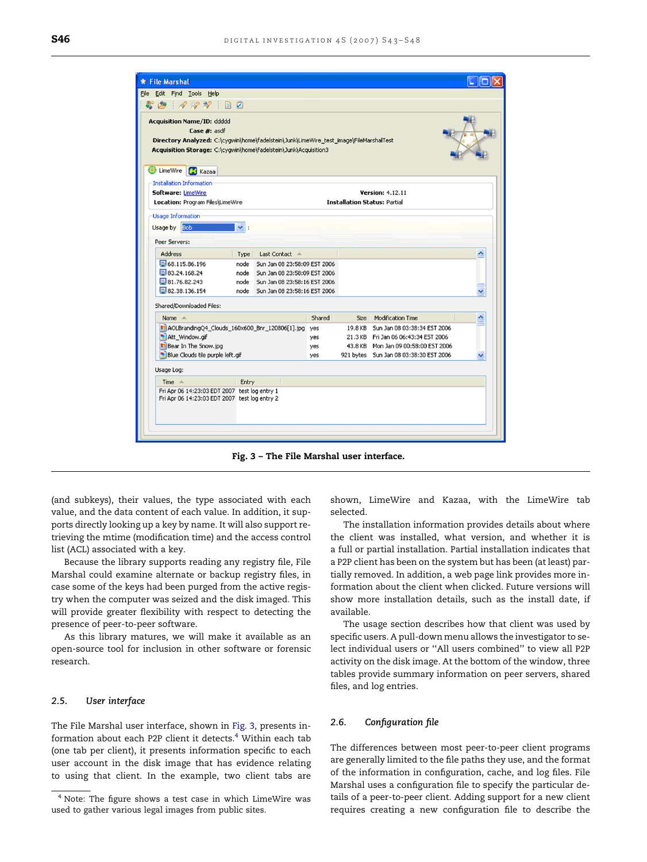<span id="page-3-0"></span>

Fig. 3 – The File Marshal user interface.

(and subkeys), their values, the type associated with each value, and the data content of each value. In addition, it supports directly looking up a key by name. It will also support retrieving the mtime (modification time) and the access control list (ACL) associated with a key.

Because the library supports reading any registry file, File Marshal could examine alternate or backup registry files, in case some of the keys had been purged from the active registry when the computer was seized and the disk imaged. This will provide greater flexibility with respect to detecting the presence of peer-to-peer software.

As this library matures, we will make it available as an open-source tool for inclusion in other software or forensic research.

#### 2.5. User interface

The File Marshal user interface, shown in Fig. 3, presents information about each P2P client it detects.<sup>4</sup> Within each tab (one tab per client), it presents information specific to each user account in the disk image that has evidence relating to using that client. In the example, two client tabs are shown, LimeWire and Kazaa, with the LimeWire tab selected.

The installation information provides details about where the client was installed, what version, and whether it is a full or partial installation. Partial installation indicates that a P2P client has been on the system but has been (at least) partially removed. In addition, a web page link provides more information about the client when clicked. Future versions will show more installation details, such as the install date, if available.

The usage section describes how that client was used by specific users. A pull-down menu allows the investigator to select individual users or ''All users combined'' to view all P2P activity on the disk image. At the bottom of the window, three tables provide summary information on peer servers, shared files, and log entries.

#### 2.6. Configuration file

The differences between most peer-to-peer client programs are generally limited to the file paths they use, and the format of the information in configuration, cache, and log files. File Marshal uses a configuration file to specify the particular details of a peer-to-peer client. Adding support for a new client requires creating a new configuration file to describe the

<sup>4</sup> Note: The figure shows a test case in which LimeWire was used to gather various legal images from public sites.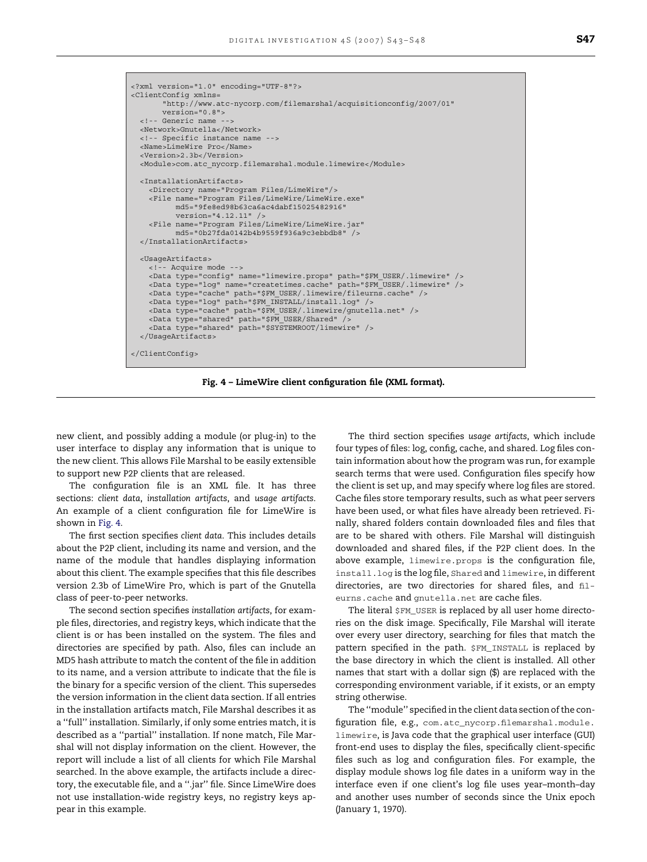```
<?xml version="1.0" encoding="UTF-8"?> 
<ClientConfig xmlns= 
         "http://www.atc-nycorp.com/filemarshal/acquisitionconfig/2007/01"
        version="0.8"> 
  <!-- Generic name -
   <Network>Gnutella</Network> 
   <!-- Specific instance name --> 
   <Name>LimeWire Pro</Name> 
   <Version>2.3b</Version> 
   <Module>com.atc_nycorp.filemarshal.module.limewire</Module> 
   <InstallationArtifacts> 
     <Directory name="Program Files/LimeWire"/> 
     <File name="Program Files/LimeWire/LimeWire.exe" 
            md5="9fe8ed98b63ca6ac4dabf15025482916" 
            version="4.12.11" /> 
     <File name="Program Files/LimeWire/LimeWire.jar" 
            md5="0b27fda0142b4b9559f936a9c3ebbdb8" /> 
   </InstallationArtifacts> 
   <UsageArtifacts> 
     <!-- Acquire mode --> 
     <Data type="config" name="limewire.props" path="$FM_USER/.limewire" /> 
     <Data type="log" name="createtimes.cache" path="$FM_USER/.limewire" /> 
     <Data type="cache" path="$FM_USER/.limewire/fileurns.cache" /> 
 <Data type="log" path="$FM_INSTALL/install.log" /> 
 <Data type="cache" path="$FM_USER/.limewire/gnutella.net" /> 
 <Data type="shared" path="$FM_USER/Shared" /> 
 <Data type="shared" path="$SYSTEMROOT/limewire" /> 
   </UsageArtifacts> 
</ClientConfig>
```
Fig. 4 – LimeWire client configuration file (XML format).

new client, and possibly adding a module (or plug-in) to the user interface to display any information that is unique to the new client. This allows File Marshal to be easily extensible to support new P2P clients that are released.

The configuration file is an XML file. It has three sections: client data, installation artifacts, and usage artifacts. An example of a client configuration file for LimeWire is shown in Fig. 4.

The first section specifies client data. This includes details about the P2P client, including its name and version, and the name of the module that handles displaying information about this client. The example specifies that this file describes version 2.3b of LimeWire Pro, which is part of the Gnutella class of peer-to-peer networks.

The second section specifies installation artifacts, for example files, directories, and registry keys, which indicate that the client is or has been installed on the system. The files and directories are specified by path. Also, files can include an MD5 hash attribute to match the content of the file in addition to its name, and a version attribute to indicate that the file is the binary for a specific version of the client. This supersedes the version information in the client data section. If all entries in the installation artifacts match, File Marshal describes it as a ''full'' installation. Similarly, if only some entries match, it is described as a ''partial'' installation. If none match, File Marshal will not display information on the client. However, the report will include a list of all clients for which File Marshal searched. In the above example, the artifacts include a directory, the executable file, and a ''.jar'' file. Since LimeWire does not use installation-wide registry keys, no registry keys appear in this example.

The third section specifies usage artifacts, which include four types of files: log, config, cache, and shared. Log files contain information about how the program was run, for example search terms that were used. Configuration files specify how the client is set up, and may specify where log files are stored. Cache files store temporary results, such as what peer servers have been used, or what files have already been retrieved. Finally, shared folders contain downloaded files and files that are to be shared with others. File Marshal will distinguish downloaded and shared files, if the P2P client does. In the above example, limewire.props is the configuration file, install.log is the log file, Shared and limewire, in different directories, are two directories for shared files, and fileurns.cache and gnutella.net are cache files.

The literal \$FM\_USER is replaced by all user home directories on the disk image. Specifically, File Marshal will iterate over every user directory, searching for files that match the pattern specified in the path. \$FM\_INSTALL is replaced by the base directory in which the client is installed. All other names that start with a dollar sign (\$) are replaced with the corresponding environment variable, if it exists, or an empty string otherwise.

The ''module'' specified in the client data section of the configuration file, e.g., com.atc\_nycorp.filemarshal.module. limewire, is Java code that the graphical user interface (GUI) front-end uses to display the files, specifically client-specific files such as log and configuration files. For example, the display module shows log file dates in a uniform way in the interface even if one client's log file uses year–month–day and another uses number of seconds since the Unix epoch (January 1, 1970).